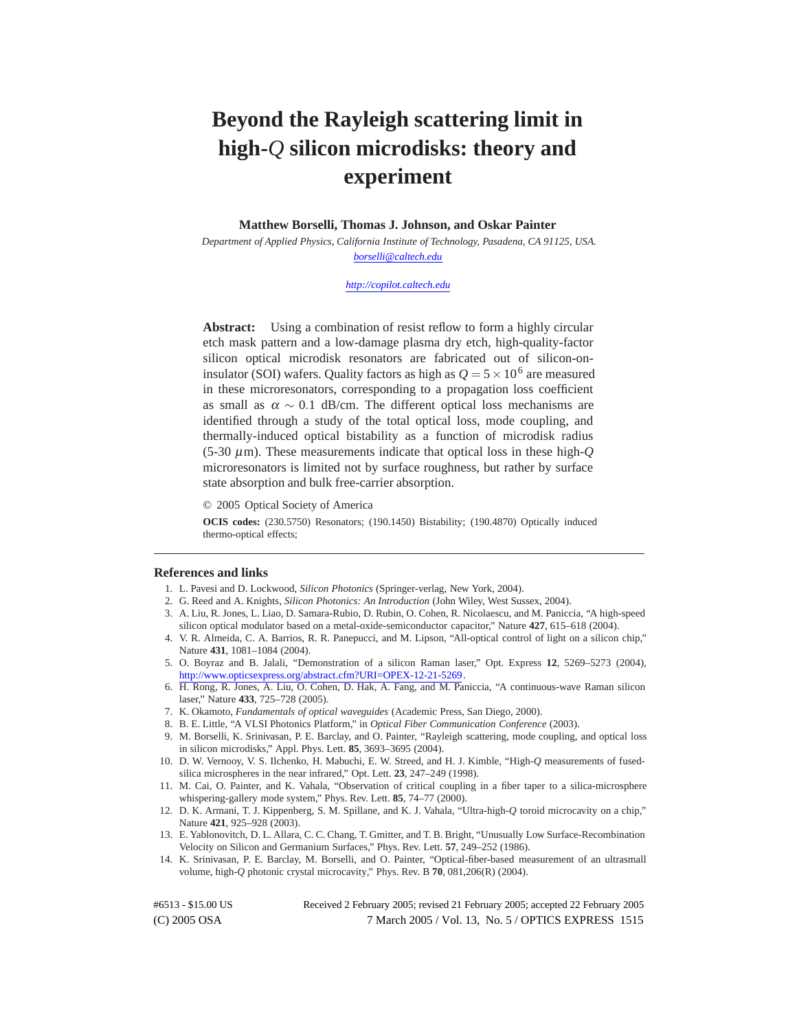# **Beyond the Rayleigh scattering limit in high-***Q* **silicon microdisks: theory and experiment**

**Matthew Borselli, Thomas J. Johnson, and Oskar Painter**

*Department of Applied Physics, California Institute of Technology, Pasadena, CA 91125, USA. [borselli@caltech.edu](mailto:borselli@caltech.edu)*

#### *<http://copilot.caltech.edu>*

**Abstract:** Using a combination of resist reflow to form a highly circular etch mask pattern and a low-damage plasma dry etch, high-quality-factor silicon optical microdisk resonators are fabricated out of silicon-oninsulator (SOI) wafers. Quality factors as high as  $Q = 5 \times 10^6$  are measured in these microresonators, corresponding to a propagation loss coefficient as small as  $\alpha \sim 0.1$  dB/cm. The different optical loss mechanisms are identified through a study of the total optical loss, mode coupling, and thermally-induced optical bistability as a function of microdisk radius (5-30 µm). These measurements indicate that optical loss in these high-*Q* microresonators is limited not by surface roughness, but rather by surface state absorption and bulk free-carrier absorption.

© 2005 Optical Society of America

**OCIS codes:** (230.5750) Resonators; (190.1450) Bistability; (190.4870) Optically induced thermo-optical effects;

#### **References and links**

- 1. L. Pavesi and D. Lockwood, *Silicon Photonics* (Springer-verlag, New York, 2004).
- 2. G. Reed and A. Knights, *Silicon Photonics: An Introduction* (John Wiley, West Sussex, 2004).
- 3. A. Liu, R. Jones, L. Liao, D. Samara-Rubio, D. Rubin, O. Cohen, R. Nicolaescu, and M. Paniccia, "A high-speed silicon optical modulator based on a metal-oxide-semiconductor capacitor," Nature **427**, 615–618 (2004).
- 4. V. R. Almeida, C. A. Barrios, R. R. Panepucci, and M. Lipson, "All-optical control of light on a silicon chip," Nature **431**, 1081–1084 (2004).
- 5. O. Boyraz and B. Jalali, "Demonstration of a silicon Raman laser," Opt. Express **12**, 5269–5273 (2004), [http://www.opticsexpress.org/abstract.cfm?URI=OPEX-12-21-5269.](http://www.opticsexpress.org/abstract.cfm?URI=OPEX-12-21-5269)
- 6. H. Rong, R. Jones, A. Liu, O. Cohen, D. Hak, A. Fang, and M. Paniccia, "A continuous-wave Raman silicon laser," Nature **433**, 725–728 (2005).
- 7. K. Okamoto, *Fundamentals of optical waveguides* (Academic Press, San Diego, 2000).
- 8. B. E. Little, "A VLSI Photonics Platform," in *Optical Fiber Communication Conference* (2003).
- 9. M. Borselli, K. Srinivasan, P. E. Barclay, and O. Painter, "Rayleigh scattering, mode coupling, and optical loss in silicon microdisks," Appl. Phys. Lett. **85**, 3693–3695 (2004).
- 10. D. W. Vernooy, V. S. Ilchenko, H. Mabuchi, E. W. Streed, and H. J. Kimble, "High-*Q* measurements of fusedsilica microspheres in the near infrared," Opt. Lett. **23**, 247–249 (1998).
- 11. M. Cai, O. Painter, and K. Vahala, "Observation of critical coupling in a fiber taper to a silica-microsphere whispering-gallery mode system," Phys. Rev. Lett. **85**, 74–77 (2000).
- 12. D. K. Armani, T. J. Kippenberg, S. M. Spillane, and K. J. Vahala, "Ultra-high-*Q* toroid microcavity on a chip," Nature **421**, 925–928 (2003).
- 13. E. Yablonovitch, D. L. Allara, C. C. Chang, T. Gmitter, and T. B. Bright, "Unusually Low Surface-Recombination Velocity on Silicon and Germanium Surfaces," Phys. Rev. Lett. **57**, 249–252 (1986).
- 14. K. Srinivasan, P. E. Barclay, M. Borselli, and O. Painter, "Optical-fiber-based measurement of an ultrasmall volume, high-*Q* photonic crystal microcavity," Phys. Rev. B **70**, 081,206(R) (2004).

(C) 2005 OSA 7 March 2005 / Vol. 13, No. 5 / OPTICS EXPRESS 1515 #6513 - \$15.00 US Received 2 February 2005; revised 21 February 2005; accepted 22 February 2005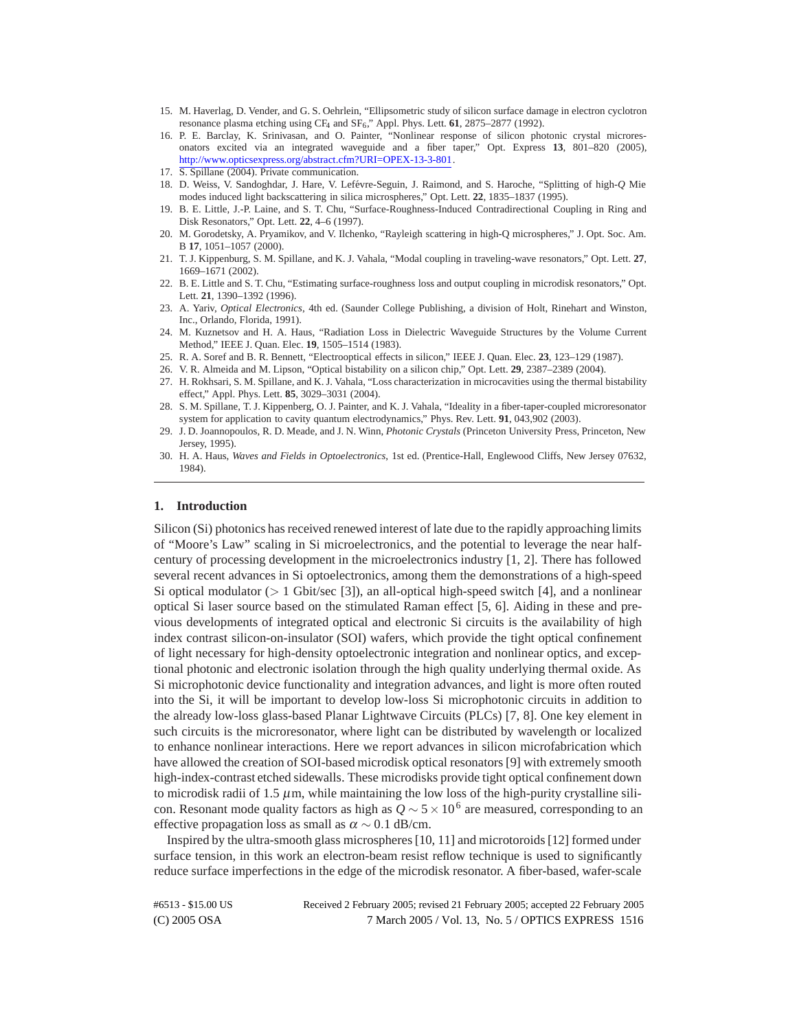- 15. M. Haverlag, D. Vender, and G. S. Oehrlein, "Ellipsometric study of silicon surface damage in electron cyclotron resonance plasma etching using CF<sub>4</sub> and SF<sub>6</sub>," Appl. Phys. Lett. 61, 2875-2877 (1992).
- 16. P. E. Barclay, K. Srinivasan, and O. Painter, "Nonlinear response of silicon photonic crystal microresonators excited via an integrated waveguide and a fiber taper," Opt. Express **13**, 801–820 (2005), [http://www.opticsexpress.org/abstract.cfm?URI=OPEX-13-3-801.](http://www.opticsexpress.org/abstract.cfm?URI=OPEX-13-3-801)
- 17. S. Spillane (2004). Private communication.
- 18. D. Weiss, V. Sandoghdar, J. Hare, V. Lef´evre-Seguin, J. Raimond, and S. Haroche, "Splitting of high-*Q* Mie modes induced light backscattering in silica microspheres," Opt. Lett. **22**, 1835–1837 (1995).
- 19. B. E. Little, J.-P. Laine, and S. T. Chu, "Surface-Roughness-Induced Contradirectional Coupling in Ring and Disk Resonators," Opt. Lett. **22**, 4–6 (1997).
- 20. M. Gorodetsky, A. Pryamikov, and V. Ilchenko, "Rayleigh scattering in high-Q microspheres," J. Opt. Soc. Am. B **17**, 1051–1057 (2000).
- 21. T. J. Kippenburg, S. M. Spillane, and K. J. Vahala, "Modal coupling in traveling-wave resonators," Opt. Lett. **27**, 1669–1671 (2002).
- 22. B. E. Little and S. T. Chu, "Estimating surface-roughness loss and output coupling in microdisk resonators," Opt. Lett. **21**, 1390–1392 (1996).
- 23. A. Yariv, *Optical Electronics*, 4th ed. (Saunder College Publishing, a division of Holt, Rinehart and Winston, Inc., Orlando, Florida, 1991).
- 24. M. Kuznetsov and H. A. Haus, "Radiation Loss in Dielectric Waveguide Structures by the Volume Current Method," IEEE J. Quan. Elec. **19**, 1505–1514 (1983).
- 25. R. A. Soref and B. R. Bennett, "Electrooptical effects in silicon," IEEE J. Quan. Elec. **23**, 123–129 (1987).
- 26. V. R. Almeida and M. Lipson, "Optical bistability on a silicon chip," Opt. Lett. **29**, 2387–2389 (2004).
- 27. H. Rokhsari, S. M. Spillane, and K. J. Vahala, "Loss characterization in microcavities using the thermal bistability effect," Appl. Phys. Lett. **85**, 3029–3031 (2004).
- 28. S. M. Spillane, T. J. Kippenberg, O. J. Painter, and K. J. Vahala, "Ideality in a fiber-taper-coupled microresonator system for application to cavity quantum electrodynamics," Phys. Rev. Lett. **91**, 043,902 (2003).
- 29. J. D. Joannopoulos, R. D. Meade, and J. N. Winn, *Photonic Crystals* (Princeton University Press, Princeton, New Jersey, 1995).
- 30. H. A. Haus, *Waves and Fields in Optoelectronics*, 1st ed. (Prentice-Hall, Englewood Cliffs, New Jersey 07632, 1984).

#### **1. Introduction**

Silicon (Si) photonics has received renewed interest of late due to the rapidly approaching limits of "Moore's Law" scaling in Si microelectronics, and the potential to leverage the near halfcentury of processing development in the microelectronics industry [1, 2]. There has followed several recent advances in Si optoelectronics, among them the demonstrations of a high-speed Si optical modulator (*>* 1 Gbit/sec [3]), an all-optical high-speed switch [4], and a nonlinear optical Si laser source based on the stimulated Raman effect [5, 6]. Aiding in these and previous developments of integrated optical and electronic Si circuits is the availability of high index contrast silicon-on-insulator (SOI) wafers, which provide the tight optical confinement of light necessary for high-density optoelectronic integration and nonlinear optics, and exceptional photonic and electronic isolation through the high quality underlying thermal oxide. As Si microphotonic device functionality and integration advances, and light is more often routed into the Si, it will be important to develop low-loss Si microphotonic circuits in addition to the already low-loss glass-based Planar Lightwave Circuits (PLCs) [7, 8]. One key element in such circuits is the microresonator, where light can be distributed by wavelength or localized to enhance nonlinear interactions. Here we report advances in silicon microfabrication which have allowed the creation of SOI-based microdisk optical resonators [9] with extremely smooth high-index-contrast etched sidewalls. These microdisks provide tight optical confinement down to microdisk radii of 1.5  $\mu$ m, while maintaining the low loss of the high-purity crystalline silicon. Resonant mode quality factors as high as  $Q \sim 5 \times 10^6$  are measured, corresponding to an effective propagation loss as small as  $\alpha \sim 0.1$  dB/cm.

Inspired by the ultra-smooth glass microspheres [10, 11] and microtoroids [12] formed under surface tension, in this work an electron-beam resist reflow technique is used to significantly reduce surface imperfections in the edge of the microdisk resonator. A fiber-based, wafer-scale

(C) 2005 OSA 7 March 2005 / Vol. 13, No. 5 / OPTICS EXPRESS 1516 #6513 - \$15.00 US Received 2 February 2005; revised 21 February 2005; accepted 22 February 2005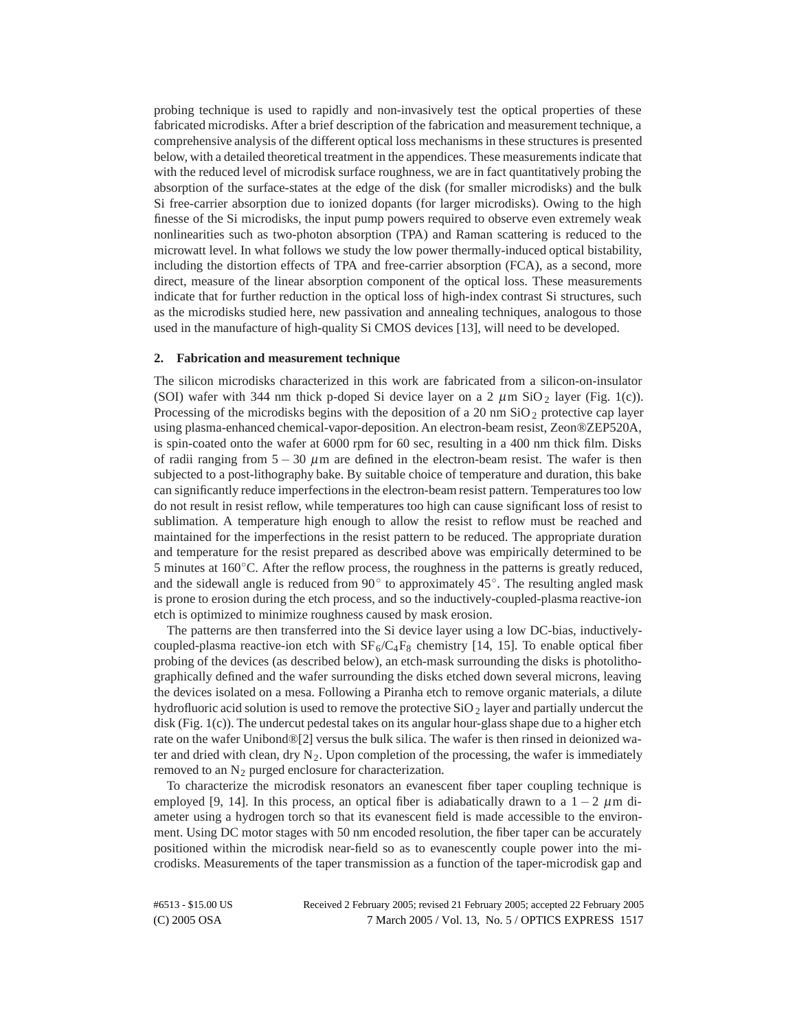probing technique is used to rapidly and non-invasively test the optical properties of these fabricated microdisks. After a brief description of the fabrication and measurement technique, a comprehensive analysis of the different optical loss mechanisms in these structures is presented below, with a detailed theoretical treatment in the appendices. These measurements indicate that with the reduced level of microdisk surface roughness, we are in fact quantitatively probing the absorption of the surface-states at the edge of the disk (for smaller microdisks) and the bulk Si free-carrier absorption due to ionized dopants (for larger microdisks). Owing to the high finesse of the Si microdisks, the input pump powers required to observe even extremely weak nonlinearities such as two-photon absorption (TPA) and Raman scattering is reduced to the microwatt level. In what follows we study the low power thermally-induced optical bistability, including the distortion effects of TPA and free-carrier absorption (FCA), as a second, more direct, measure of the linear absorption component of the optical loss. These measurements indicate that for further reduction in the optical loss of high-index contrast Si structures, such as the microdisks studied here, new passivation and annealing techniques, analogous to those used in the manufacture of high-quality Si CMOS devices [13], will need to be developed.

## **2. Fabrication and measurement technique**

The silicon microdisks characterized in this work are fabricated from a silicon-on-insulator (SOI) wafer with 344 nm thick p-doped Si device layer on a 2  $\mu$ m SiO<sub>2</sub> layer (Fig. 1(c)). Processing of the microdisks begins with the deposition of a 20 nm  $SiO<sub>2</sub>$  protective cap layer using plasma-enhanced chemical-vapor-deposition. An electron-beam resist, Zeon®ZEP520A, is spin-coated onto the wafer at 6000 rpm for 60 sec, resulting in a 400 nm thick film. Disks of radii ranging from  $5 - 30 \mu$ m are defined in the electron-beam resist. The wafer is then subjected to a post-lithography bake. By suitable choice of temperature and duration, this bake can significantly reduce imperfections in the electron-beam resist pattern. Temperatures too low do not result in resist reflow, while temperatures too high can cause significant loss of resist to sublimation. A temperature high enough to allow the resist to reflow must be reached and maintained for the imperfections in the resist pattern to be reduced. The appropriate duration and temperature for the resist prepared as described above was empirically determined to be 5 minutes at  $160\degree$ C. After the reflow process, the roughness in the patterns is greatly reduced, and the sidewall angle is reduced from  $90^\circ$  to approximately  $45^\circ$ . The resulting angled mask is prone to erosion during the etch process, and so the inductively-coupled-plasma reactive-ion etch is optimized to minimize roughness caused by mask erosion.

The patterns are then transferred into the Si device layer using a low DC-bias, inductivelycoupled-plasma reactive-ion etch with  $SF_6/C_4F_8$  chemistry [14, 15]. To enable optical fiber probing of the devices (as described below), an etch-mask surrounding the disks is photolithographically defined and the wafer surrounding the disks etched down several microns, leaving the devices isolated on a mesa. Following a Piranha etch to remove organic materials, a dilute hydrofluoric acid solution is used to remove the protective  $SiO<sub>2</sub>$  layer and partially undercut the disk (Fig. 1(c)). The undercut pedestal takes on its angular hour-glass shape due to a higher etch rate on the wafer Unibond®[2] versus the bulk silica. The wafer is then rinsed in deionized water and dried with clean, dry  $N_2$ . Upon completion of the processing, the wafer is immediately removed to an  $N_2$  purged enclosure for characterization.

To characterize the microdisk resonators an evanescent fiber taper coupling technique is employed [9, 14]. In this process, an optical fiber is adiabatically drawn to a  $1 - 2 \mu m$  diameter using a hydrogen torch so that its evanescent field is made accessible to the environment. Using DC motor stages with 50 nm encoded resolution, the fiber taper can be accurately positioned within the microdisk near-field so as to evanescently couple power into the microdisks. Measurements of the taper transmission as a function of the taper-microdisk gap and

(C) 2005 OSA 7 March 2005 / Vol. 13, No. 5 / OPTICS EXPRESS 1517 #6513 - \$15.00 US Received 2 February 2005; revised 21 February 2005; accepted 22 February 2005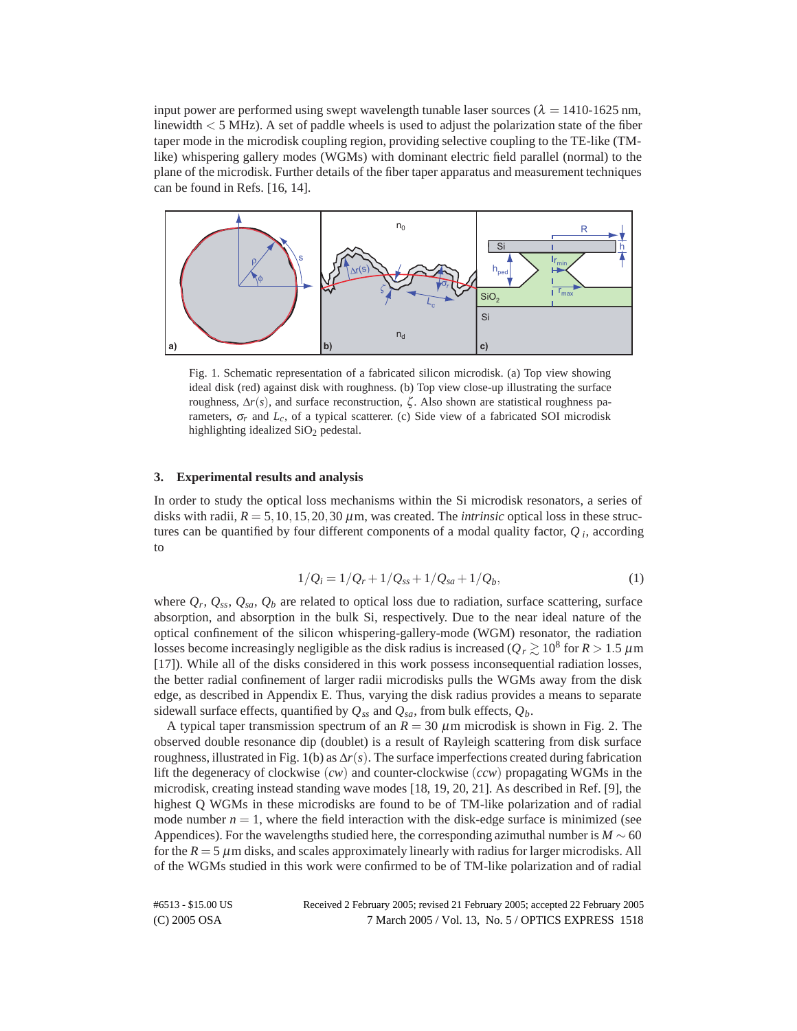input power are performed using swept wavelength tunable laser sources ( $\lambda = 1410$ -1625 nm, linewidth *<* 5 MHz). A set of paddle wheels is used to adjust the polarization state of the fiber taper mode in the microdisk coupling region, providing selective coupling to the TE-like (TMlike) whispering gallery modes (WGMs) with dominant electric field parallel (normal) to the plane of the microdisk. Further details of the fiber taper apparatus and measurement techniques can be found in Refs. [16, 14].



Fig. 1. Schematic representation of a fabricated silicon microdisk. (a) Top view showing ideal disk (red) against disk with roughness. (b) Top view close-up illustrating the surface roughness,  $\Delta r(s)$ , and surface reconstruction, ζ. Also shown are statistical roughness parameters,  $\sigma_r$  and  $L_c$ , of a typical scatterer. (c) Side view of a fabricated SOI microdisk highlighting idealized SiO<sub>2</sub> pedestal.

# **3. Experimental results and analysis**

In order to study the optical loss mechanisms within the Si microdisk resonators, a series of disks with radii,  $R = 5,10,15,20,30 \,\mu$ m, was created. The *intrinsic* optical loss in these structures can be quantified by four different components of a modal quality factor, *Q <sup>i</sup>*, according to

$$
1/Q_i = 1/Q_r + 1/Q_{ss} + 1/Q_{sa} + 1/Q_b,
$$
\n(1)

where  $Q_r$ ,  $Q_{ss}$ ,  $Q_{sa}$ ,  $Q_b$  are related to optical loss due to radiation, surface scattering, surface absorption, and absorption in the bulk Si, respectively. Due to the near ideal nature of the optical confinement of the silicon whispering-gallery-mode (WGM) resonator, the radiation losses become increasingly negligible as the disk radius is increased ( $Q_r \gtrsim 10^8$  for  $R > 1.5 \ \mu m$ [17]). While all of the disks considered in this work possess inconsequential radiation losses, the better radial confinement of larger radii microdisks pulls the WGMs away from the disk edge, as described in Appendix E. Thus, varying the disk radius provides a means to separate sidewall surface effects, quantified by  $Q_{ss}$  and  $Q_{sa}$ , from bulk effects,  $Q_b$ .

A typical taper transmission spectrum of an  $R = 30 \mu$ m microdisk is shown in Fig. 2. The observed double resonance dip (doublet) is a result of Rayleigh scattering from disk surface roughness, illustrated in Fig. 1(b) as  $\Delta r(s)$ . The surface imperfections created during fabrication lift the degeneracy of clockwise (*cw*) and counter-clockwise (*ccw*) propagating WGMs in the microdisk, creating instead standing wave modes [18, 19, 20, 21]. As described in Ref. [9], the highest Q WGMs in these microdisks are found to be of TM-like polarization and of radial mode number  $n = 1$ , where the field interaction with the disk-edge surface is minimized (see Appendices). For the wavelengths studied here, the corresponding azimuthal number is  $M \sim 60$ for the  $R = 5 \mu$ m disks, and scales approximately linearly with radius for larger microdisks. All of the WGMs studied in this work were confirmed to be of TM-like polarization and of radial

(C) 2005 OSA 7 March 2005 / Vol. 13, No. 5 / OPTICS EXPRESS 1518 #6513 - \$15.00 US Received 2 February 2005; revised 21 February 2005; accepted 22 February 2005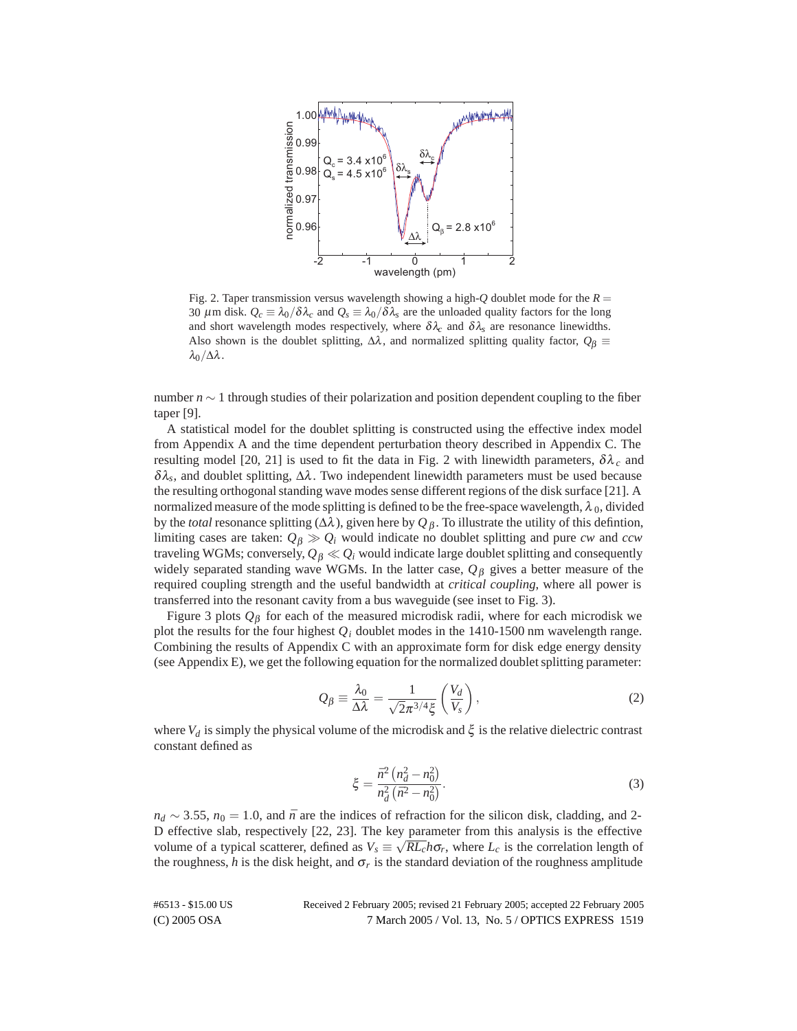

Fig. 2. Taper transmission versus wavelength showing a high- $Q$  doublet mode for the  $R =$ 30  $\mu$ m disk.  $Q_c \equiv \lambda_0/\delta \lambda_c$  and  $Q_s \equiv \lambda_0/\delta \lambda_s$  are the unloaded quality factors for the long and short wavelength modes respectively, where  $\delta \lambda_c$  and  $\delta \lambda_s$  are resonance linewidths. Also shown is the doublet splitting,  $\Delta\lambda$ , and normalized splitting quality factor,  $Q_\beta$  $\lambda_0/\Delta\lambda$ .

number *n* ∼ 1 through studies of their polarization and position dependent coupling to the fiber taper [9].

A statistical model for the doublet splitting is constructed using the effective index model from Appendix A and the time dependent perturbation theory described in Appendix C. The resulting model [20, 21] is used to fit the data in Fig. 2 with linewidth parameters,  $δλ<sub>c</sub>$  and δλ*s*, and doublet splitting, ∆λ. Two independent linewidth parameters must be used because the resulting orthogonal standing wave modes sense different regions of the disk surface [21]. A normalized measure of the mode splitting is defined to be the free-space wavelength,  $\lambda_0$ , divided by the *total* resonance splitting ( $Δλ$ ), given here by  $Q_β$ . To illustrate the utility of this defintion, limiting cases are taken:  $Q_\beta \gg Q_i$  would indicate no doublet splitting and pure *cw* and *ccw* traveling WGMs; conversely,  $Q_B \ll Q_i$  would indicate large doublet splitting and consequently widely separated standing wave WGMs. In the latter case, *Q*<sup>β</sup> gives a better measure of the required coupling strength and the useful bandwidth at *critical coupling*, where all power is transferred into the resonant cavity from a bus waveguide (see inset to Fig. 3).

Figure 3 plots *Q*<sup>β</sup> for each of the measured microdisk radii, where for each microdisk we plot the results for the four highest *Qi* doublet modes in the 1410-1500 nm wavelength range. Combining the results of Appendix C with an approximate form for disk edge energy density (see Appendix E), we get the following equation for the normalized doublet splitting parameter:

$$
Q_{\beta} \equiv \frac{\lambda_0}{\Delta \lambda} = \frac{1}{\sqrt{2}\pi^{3/4}\xi} \left(\frac{V_d}{V_s}\right),\tag{2}
$$

where  $V_d$  is simply the physical volume of the microdisk and  $\xi$  is the relative dielectric contrast constant defined as

$$
\xi = \frac{\bar{n}^2 \left( n_d^2 - n_0^2 \right)}{n_d^2 \left( \bar{n}^2 - n_0^2 \right)}.
$$
\n(3)

*n<sub>d</sub>* ∼ 3.55, *n*<sub>0</sub> = 1.0, and  $\bar{n}$  are the indices of refraction for the silicon disk, cladding, and 2-D effective slab, respectively [22, 23]. The key parameter from this analysis is the effective volume of a typical scatterer, defined as  $V_s \equiv \sqrt{RL_c}h\sigma_r$ , where  $L_c$  is the correlation length of the roughness,  $h$  is the disk height, and  $\sigma_r$  is the standard deviation of the roughness amplitude

(C) 2005 OSA 7 March 2005 / Vol. 13, No. 5 / OPTICS EXPRESS 1519 #6513 - \$15.00 US Received 2 February 2005; revised 21 February 2005; accepted 22 February 2005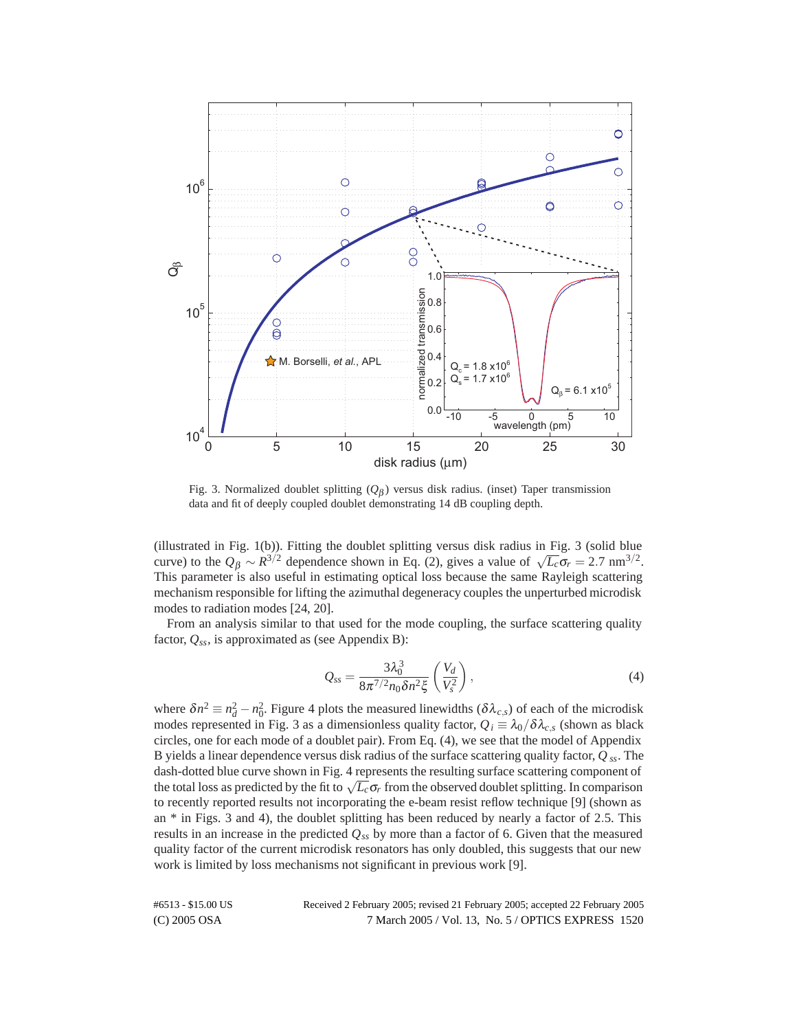

Fig. 3. Normalized doublet splitting (*Q*<sup>β</sup> ) versus disk radius. (inset) Taper transmission data and fit of deeply coupled doublet demonstrating 14 dB coupling depth.

(illustrated in Fig. 1(b)). Fitting the doublet splitting versus disk radius in Fig. 3 (solid blue curve) to the  $Q_\beta \sim R^{3/2}$  dependence shown in Eq. (2), gives a value of  $\sqrt{L_c} \sigma_r = 2.7 \text{ nm}^{3/2}$ . This parameter is also useful in estimating optical loss because the same Rayleigh scattering mechanism responsible for lifting the azimuthal degeneracy couples the unperturbed microdisk modes to radiation modes [24, 20].

From an analysis similar to that used for the mode coupling, the surface scattering quality factor,  $Q_{ss}$ , is approximated as (see Appendix B):

$$
Q_{ss} = \frac{3\lambda_0^3}{8\pi^{7/2}n_0\delta n^2\xi} \left(\frac{V_d}{V_s^2}\right),\tag{4}
$$

where  $\delta n^2 \equiv n_d^2 - n_0^2$ . Figure 4 plots the measured linewidths ( $\delta \lambda_{c,s}$ ) of each of the microdisk modes represented in Fig. 3 as a dimensionless quality factor,  $Q_i \equiv \lambda_0 / \delta \lambda_{c,s}$  (shown as black circles, one for each mode of a doublet pair). From Eq. (4), we see that the model of Appendix B yields a linear dependence versus disk radius of the surface scattering quality factor, *Q ss*. The dash-dotted blue curve shown in Fig. 4 represents the resulting surface scattering component of the total loss as predicted by the fit to  $\sqrt{L_c} \sigma_r$  from the observed doublet splitting. In comparison to recently reported results not incorporating the e-beam resist reflow technique [9] (shown as an \* in Figs. 3 and 4), the doublet splitting has been reduced by nearly a factor of 2*.*5. This results in an increase in the predicted  $Q_{ss}$  by more than a factor of 6. Given that the measured quality factor of the current microdisk resonators has only doubled, this suggests that our new work is limited by loss mechanisms not significant in previous work [9].

(C) 2005 OSA 7 March 2005 / Vol. 13, No. 5 / OPTICS EXPRESS 1520 #6513 - \$15.00 US Received 2 February 2005; revised 21 February 2005; accepted 22 February 2005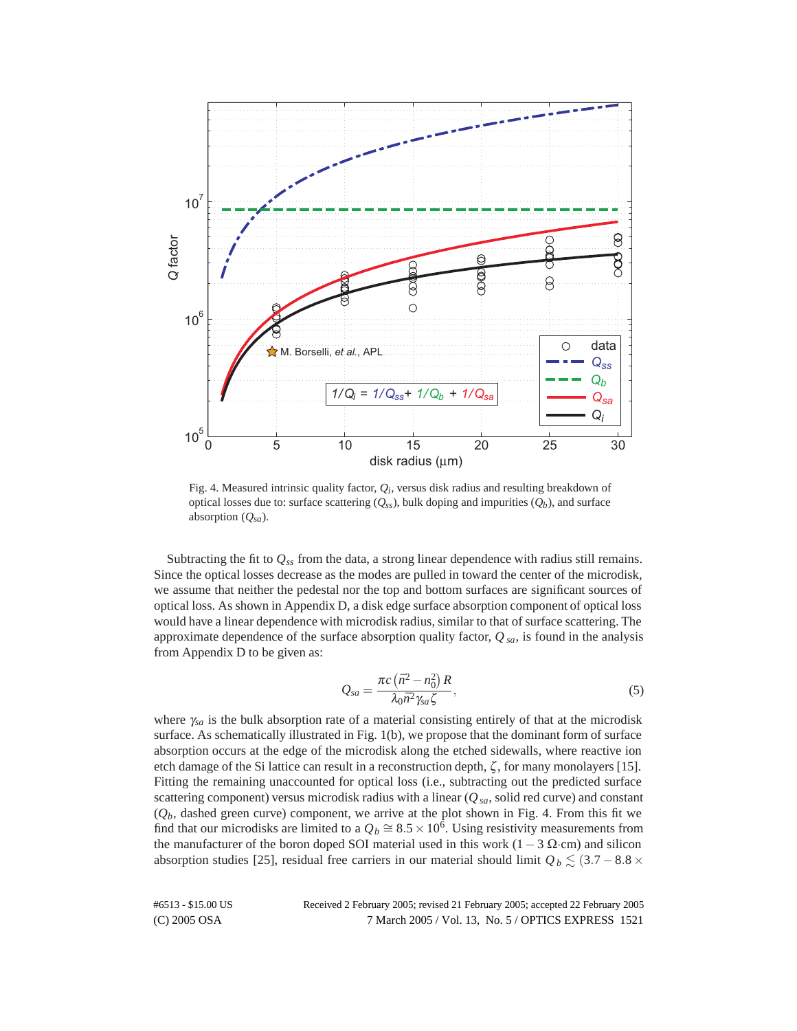

Fig. 4. Measured intrinsic quality factor, *Qi*, versus disk radius and resulting breakdown of optical losses due to: surface scattering  $(Q_{ss})$ , bulk doping and impurities  $(Q_b)$ , and surface absorption (*Qsa*).

Subtracting the fit to  $Q_{ss}$  from the data, a strong linear dependence with radius still remains. Since the optical losses decrease as the modes are pulled in toward the center of the microdisk, we assume that neither the pedestal nor the top and bottom surfaces are significant sources of optical loss. As shown in Appendix D, a disk edge surface absorption component of optical loss would have a linear dependence with microdisk radius, similar to that of surface scattering. The approximate dependence of the surface absorption quality factor, *Q sa*, is found in the analysis from Appendix D to be given as:

$$
Q_{sa} = \frac{\pi c \left(\bar{n}^2 - n_0^2\right) R}{\lambda_0 \bar{n}^2 \gamma_{sa} \zeta},\tag{5}
$$

where <sup>γ</sup>*sa* is the bulk absorption rate of a material consisting entirely of that at the microdisk surface. As schematically illustrated in Fig. 1(b), we propose that the dominant form of surface absorption occurs at the edge of the microdisk along the etched sidewalls, where reactive ion etch damage of the Si lattice can result in a reconstruction depth, ζ, for many monolayers [15]. Fitting the remaining unaccounted for optical loss (i.e., subtracting out the predicted surface scattering component) versus microdisk radius with a linear  $(Q_{sa},$  solid red curve) and constant  $(Q_b)$ , dashed green curve) component, we arrive at the plot shown in Fig. 4. From this fit we find that our microdisks are limited to a  $Q_b \cong 8.5 \times 10^6$ . Using resistivity measurements from the manufacturer of the boron doped SOI material used in this work ( $1 - 3 \Omega$ ·cm) and silicon absorption studies [25], residual free carriers in our material should limit  $Q_b \lesssim (3.7 - 8.8 \times$ 

(C) 2005 OSA 7 March 2005 / Vol. 13, No. 5 / OPTICS EXPRESS 1521 #6513 - \$15.00 US Received 2 February 2005; revised 21 February 2005; accepted 22 February 2005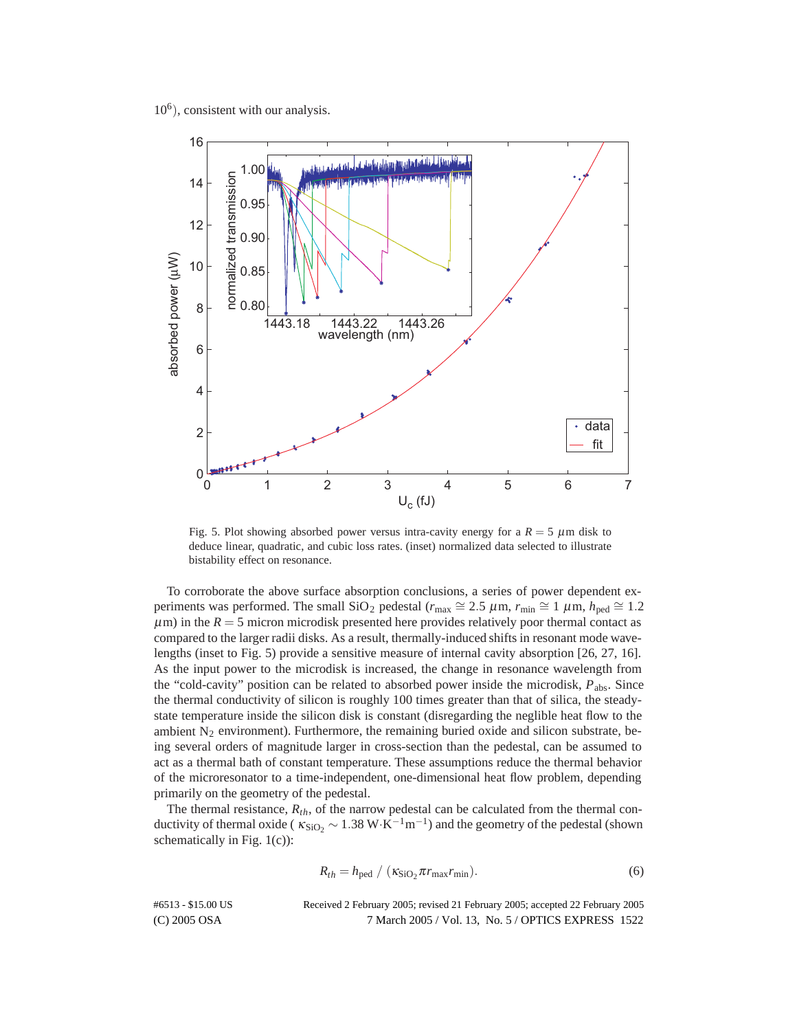$10<sup>6</sup>$ ), consistent with our analysis.



Fig. 5. Plot showing absorbed power versus intra-cavity energy for a  $R = 5 \mu m$  disk to deduce linear, quadratic, and cubic loss rates. (inset) normalized data selected to illustrate bistability effect on resonance.

To corroborate the above surface absorption conclusions, a series of power dependent experiments was performed. The small SiO<sub>2</sub> pedestal ( $r_{\text{max}} \cong 2.5 \ \mu \text{m}$ ,  $r_{\text{min}} \cong 1 \ \mu \text{m}$ ,  $h_{\text{ped}} \cong 1.2$  $\mu$ m) in the  $R = 5$  micron microdisk presented here provides relatively poor thermal contact as compared to the larger radii disks. As a result, thermally-induced shifts in resonant mode wavelengths (inset to Fig. 5) provide a sensitive measure of internal cavity absorption [26, 27, 16]. As the input power to the microdisk is increased, the change in resonance wavelength from the "cold-cavity" position can be related to absorbed power inside the microdisk, *P*abs. Since the thermal conductivity of silicon is roughly 100 times greater than that of silica, the steadystate temperature inside the silicon disk is constant (disregarding the neglible heat flow to the ambient  $N_2$  environment). Furthermore, the remaining buried oxide and silicon substrate, being several orders of magnitude larger in cross-section than the pedestal, can be assumed to act as a thermal bath of constant temperature. These assumptions reduce the thermal behavior of the microresonator to a time-independent, one-dimensional heat flow problem, depending primarily on the geometry of the pedestal.

The thermal resistance,  $R_{th}$ , of the narrow pedestal can be calculated from the thermal conductivity of thermal oxide ( $\kappa_{SiO_2} \sim 1.38 \text{ W} \cdot \text{K}^{-1} \text{m}^{-1}$ ) and the geometry of the pedestal (shown schematically in Fig.  $1(c)$ :

$$
R_{th} = h_{\text{ped}} / (K_{\text{SiO}_2} \pi r_{\text{max}} r_{\text{min}}).
$$
 (6)

(C) 2005 OSA 7 March 2005 / Vol. 13, No. 5 / OPTICS EXPRESS 1522 #6513 - \$15.00 US Received 2 February 2005; revised 21 February 2005; accepted 22 February 2005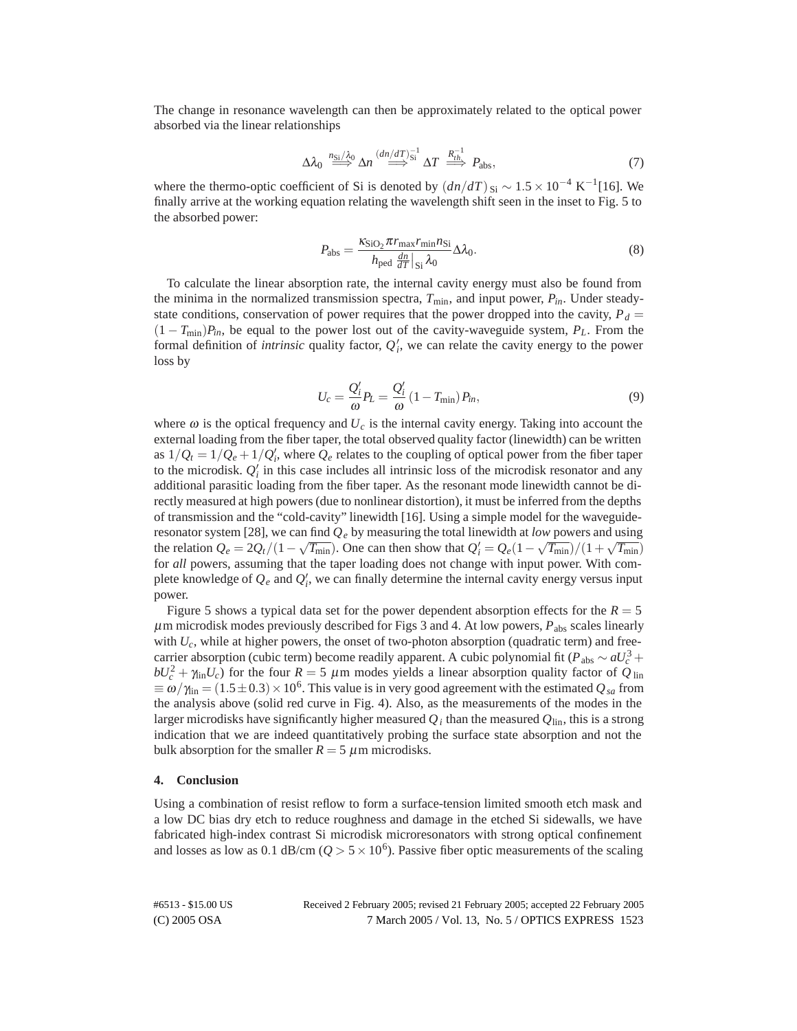The change in resonance wavelength can then be approximately related to the optical power absorbed via the linear relationships

$$
\Delta \lambda_0 \stackrel{n_{\rm Si}/\lambda_0}{\Longrightarrow} \Delta n \stackrel{(dn/dT)_{\rm Si}^{-1}}{\Longrightarrow} \Delta T \stackrel{R_{\rm th}^{-1}}{\Longrightarrow} P_{\rm abs},\tag{7}
$$

where the thermo-optic coefficient of Si is denoted by  $(dn/dT)_{Si} \sim 1.5 \times 10^{-4} \text{ K}^{-1}$ [16]. We finally arrive at the working equation relating the wavelength shift seen in the inset to Fig. 5 to the absorbed power:

$$
P_{\rm abs} = \frac{\kappa_{\rm SiO_2} \pi r_{\rm max} r_{\rm min} n_{\rm Si}}{h_{\rm ped} \frac{dn}{dT} \vert_{\rm Si} \lambda_0} \Delta \lambda_0.
$$
 (8)

To calculate the linear absorption rate, the internal cavity energy must also be found from the minima in the normalized transmission spectra,  $T_{\text{min}}$ , and input power,  $P_{in}$ . Under steadystate conditions, conservation of power requires that the power dropped into the cavity,  $P_d$  =  $(1 - T_{\text{min}})P_{in}$ , be equal to the power lost out of the cavity-waveguide system,  $P_L$ . From the formal definition of *intrinsic* quality factor,  $Q_i^{\prime}$ , we can relate the cavity energy to the power loss by

$$
U_c = \frac{Q_i'}{\omega} P_L = \frac{Q_i'}{\omega} \left( 1 - T_{\min} \right) P_{in},\tag{9}
$$

where  $\omega$  is the optical frequency and  $U_c$  is the internal cavity energy. Taking into account the external loading from the fiber taper, the total observed quality factor (linewidth) can be written as  $1/Q_t = 1/Q_e + 1/Q'_t$ , where  $Q_e$  relates to the coupling of optical power from the fiber taper to the microdisk. *Q <sup>i</sup>* in this case includes all intrinsic loss of the microdisk resonator and any additional parasitic loading from the fiber taper. As the resonant mode linewidth cannot be directly measured at high powers (due to nonlinear distortion), it must be inferred from the depths of transmission and the "cold-cavity" linewidth [16]. Using a simple model for the waveguideresonator system [28], we can find  $Q_e$  by measuring the total linewidth at *low* powers and using the relation  $Q_e = 2Q_t/(1 - \sqrt{T_{min}})$ . One can then show that  $Q'_i = Q_e(1 - \sqrt{T_{min}})/(1 + \sqrt{T_{min}})$ for *all* powers, assuming that the taper loading does not change with input power. With complete knowledge of  $Q_e$  and  $Q'_i$ , we can finally determine the internal cavity energy versus input power.

Figure 5 shows a typical data set for the power dependent absorption effects for the  $R = 5$  $\mu$ m microdisk modes previously described for Figs 3 and 4. At low powers,  $P_{\text{abs}}$  scales linearly with  $U_c$ , while at higher powers, the onset of two-photon absorption (quadratic term) and freecarrier absorption (cubic term) become readily apparent. A cubic polynomial fit ( $P_{\text{abs}} \sim aU_c^3 +$  $bU_c^2 + \gamma_{\text{lin}}U_c$ ) for the four  $R = 5 \mu \text{m}$  modes yields a linear absorption quality factor of  $Q_{\text{lin}}$  $\equiv \omega/\gamma_{\text{lin}} = (1.5 \pm 0.3) \times 10^6$ . This value is in very good agreement with the estimated  $Q_{sa}$  from the analysis above (solid red curve in Fig. 4). Also, as the measurements of the modes in the larger microdisks have significantly higher measured  $Q_i$  than the measured  $Q_{lin}$ , this is a strong indication that we are indeed quantitatively probing the surface state absorption and not the bulk absorption for the smaller  $R = 5 \mu$ m microdisks.

#### **4. Conclusion**

Using a combination of resist reflow to form a surface-tension limited smooth etch mask and a low DC bias dry etch to reduce roughness and damage in the etched Si sidewalls, we have fabricated high-index contrast Si microdisk microresonators with strong optical confinement and losses as low as 0.1 dB/cm ( $Q > 5 \times 10^6$ ). Passive fiber optic measurements of the scaling

(C) 2005 OSA 7 March 2005 / Vol. 13, No. 5 / OPTICS EXPRESS 1523 #6513 - \$15.00 US Received 2 February 2005; revised 21 February 2005; accepted 22 February 2005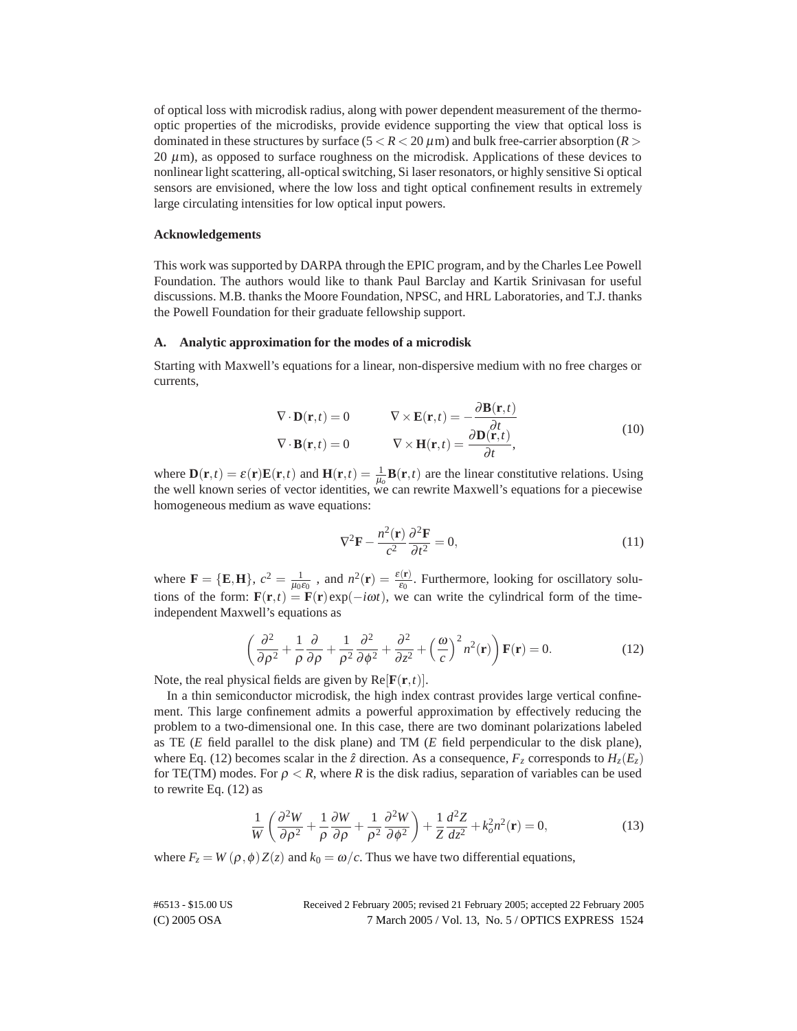of optical loss with microdisk radius, along with power dependent measurement of the thermooptic properties of the microdisks, provide evidence supporting the view that optical loss is dominated in these structures by surface  $(5 < R < 20 \,\mu\text{m})$  and bulk free-carrier absorption  $(R >$ 20  $\mu$ m), as opposed to surface roughness on the microdisk. Applications of these devices to nonlinear light scattering, all-optical switching, Si laser resonators, or highly sensitive Si optical sensors are envisioned, where the low loss and tight optical confinement results in extremely large circulating intensities for low optical input powers.

## **Acknowledgements**

This work was supported by DARPA through the EPIC program, and by the Charles Lee Powell Foundation. The authors would like to thank Paul Barclay and Kartik Srinivasan for useful discussions. M.B. thanks the Moore Foundation, NPSC, and HRL Laboratories, and T.J. thanks the Powell Foundation for their graduate fellowship support.

# **A. Analytic approximation for the modes of a microdisk**

Starting with Maxwell's equations for a linear, non-dispersive medium with no free charges or currents,

$$
\nabla \cdot \mathbf{D}(\mathbf{r},t) = 0 \qquad \nabla \times \mathbf{E}(\mathbf{r},t) = -\frac{\partial \mathbf{B}(\mathbf{r},t)}{\partial t} \n\nabla \cdot \mathbf{B}(\mathbf{r},t) = 0 \qquad \nabla \times \mathbf{H}(\mathbf{r},t) = \frac{\partial \mathbf{D}(\mathbf{r},t)}{\partial t},
$$
\n(10)

where  $\mathbf{D}(\mathbf{r},t) = \varepsilon(\mathbf{r})\mathbf{E}(\mathbf{r},t)$  and  $\mathbf{H}(\mathbf{r},t) = \frac{1}{\mu_0}\mathbf{B}(\mathbf{r},t)$  are the linear constitutive relations. Using the well known series of vector identities, we can rewrite Maxwell's equations for a piecewise homogeneous medium as wave equations:

$$
\nabla^2 \mathbf{F} - \frac{n^2(\mathbf{r})}{c^2} \frac{\partial^2 \mathbf{F}}{\partial t^2} = 0,
$$
\n(11)

where  $\mathbf{F} = \{\mathbf{E}, \mathbf{H}\}, c^2 = \frac{1}{\mu_0 \varepsilon_0}$ , and  $n^2(\mathbf{r}) = \frac{\varepsilon(\mathbf{r})}{\varepsilon_0}$ . Furthermore, looking for oscillatory solutions of the form:  $\mathbf{F}(\mathbf{r},t) = \mathbf{F}(\mathbf{r})e^{i\omega t}$ , we can write the cylindrical form of the timeindependent Maxwell's equations as

$$
\left(\frac{\partial^2}{\partial \rho^2} + \frac{1}{\rho} \frac{\partial}{\partial \rho} + \frac{1}{\rho^2} \frac{\partial^2}{\partial \phi^2} + \frac{\partial^2}{\partial z^2} + \left(\frac{\omega}{c}\right)^2 n^2(\mathbf{r})\right) \mathbf{F}(\mathbf{r}) = 0.
$$
 (12)

Note, the real physical fields are given by  $Re[F(\mathbf{r}, t)]$ .

In a thin semiconductor microdisk, the high index contrast provides large vertical confinement. This large confinement admits a powerful approximation by effectively reducing the problem to a two-dimensional one. In this case, there are two dominant polarizations labeled as TE (*E* field parallel to the disk plane) and TM (*E* field perpendicular to the disk plane), where Eq. (12) becomes scalar in the  $\hat{z}$  direction. As a consequence,  $F_z$  corresponds to  $H_z(E_z)$ for TE(TM) modes. For  $\rho < R$ , where R is the disk radius, separation of variables can be used to rewrite Eq. (12) as

$$
\frac{1}{W}\left(\frac{\partial^2 W}{\partial \rho^2} + \frac{1}{\rho}\frac{\partial W}{\partial \rho} + \frac{1}{\rho^2}\frac{\partial^2 W}{\partial \phi^2}\right) + \frac{1}{Z}\frac{d^2 Z}{dz^2} + k_o^2 n^2(\mathbf{r}) = 0,
$$
\n(13)

where  $F_z = W(\rho, \phi) Z(z)$  and  $k_0 = \omega/c$ . Thus we have two differential equations,

(C) 2005 OSA 7 March 2005 / Vol. 13, No. 5 / OPTICS EXPRESS 1524 #6513 - \$15.00 US Received 2 February 2005; revised 21 February 2005; accepted 22 February 2005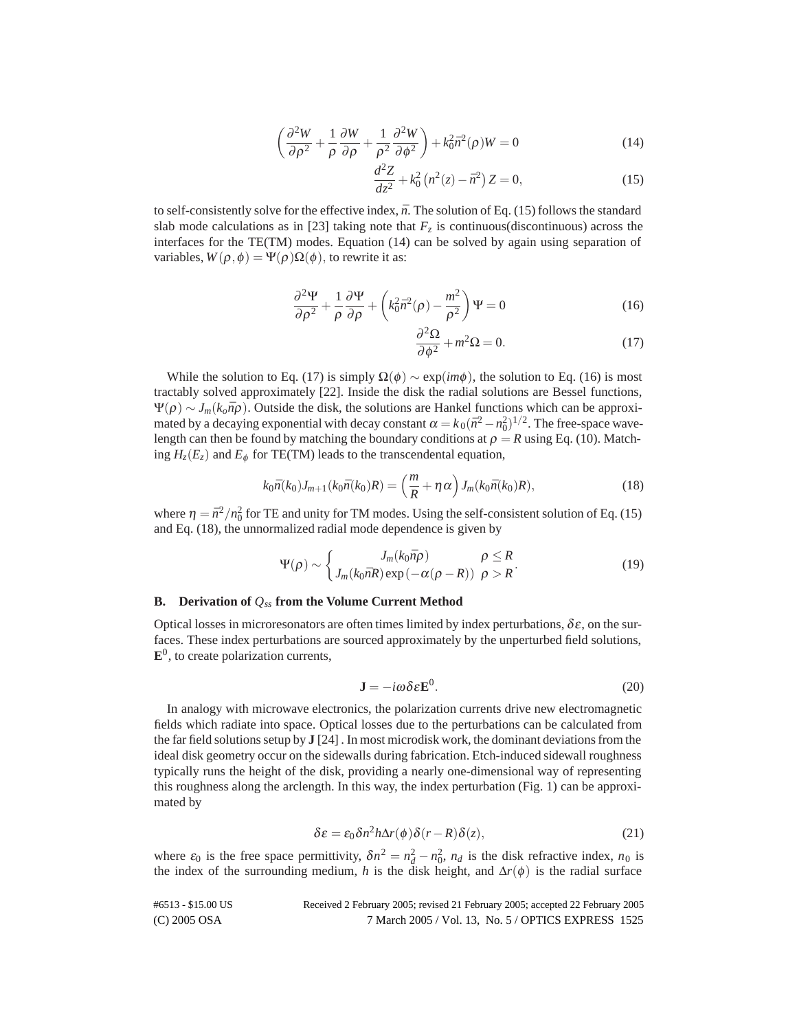$$
\left(\frac{\partial^2 W}{\partial \rho^2} + \frac{1}{\rho} \frac{\partial W}{\partial \rho} + \frac{1}{\rho^2} \frac{\partial^2 W}{\partial \phi^2}\right) + k_0^2 \bar{n}^2(\rho)W = 0
$$
\n(14)

$$
\frac{d^2Z}{dz^2} + k_0^2 \left( n^2(z) - \bar{n}^2 \right) Z = 0,\tag{15}
$$

to self-consistently solve for the effective index,  $\bar{n}$ . The solution of Eq. (15) follows the standard slab mode calculations as in [23] taking note that  $F<sub>z</sub>$  is continuous(discontinuous) across the interfaces for the TE(TM) modes. Equation (14) can be solved by again using separation of variables,  $W(\rho, \phi) = \Psi(\rho) \Omega(\phi)$ , to rewrite it as:

$$
\frac{\partial^2 \Psi}{\partial \rho^2} + \frac{1}{\rho} \frac{\partial \Psi}{\partial \rho} + \left( k_0^2 \bar{n}^2 (\rho) - \frac{m^2}{\rho^2} \right) \Psi = 0 \tag{16}
$$

$$
\frac{\partial^2 \Omega}{\partial \phi^2} + m^2 \Omega = 0.
$$
 (17)

While the solution to Eq. (17) is simply  $\Omega(\phi) \sim \exp(im\phi)$ , the solution to Eq. (16) is most tractably solved approximately [22]. Inside the disk the radial solutions are Bessel functions,  $\Psi(\rho) \sim J_m(k_o\bar{n}\rho)$ . Outside the disk, the solutions are Hankel functions which can be approximated by a decaying exponential with decay constant  $\alpha = k_0 (\bar{n}^2 - n_0^2)^{1/2}$ . The free-space wavelength can then be found by matching the boundary conditions at  $\rho = R$  using Eq. (10). Matching  $H_z(E_z)$  and  $E_\phi$  for TE(TM) leads to the transcendental equation,

$$
k_0 \bar{n}(k_0) J_{m+1}(k_0 \bar{n}(k_0)R) = \left(\frac{m}{R} + \eta \alpha\right) J_m(k_0 \bar{n}(k_0)R), \qquad (18)
$$

where  $\eta = \bar{n}^2/n_0^2$  for TE and unity for TM modes. Using the self-consistent solution of Eq. (15) and Eq. (18), the unnormalized radial mode dependence is given by

$$
\Psi(\rho) \sim \begin{cases} J_m(k_0 \bar{n}\rho) & \rho \le R \\ J_m(k_0 \bar{n}R) \exp(-\alpha(\rho - R)) & \rho > R \end{cases}
$$
(19)

## **B. Derivation of** *Qss* **from the Volume Current Method**

Optical losses in microresonators are often times limited by index perturbations,  $\delta \varepsilon$ , on the surfaces. These index perturbations are sourced approximately by the unperturbed field solutions,  $\mathbf{E}^0$ , to create polarization currents,

$$
\mathbf{J} = -i\omega\delta\epsilon \mathbf{E}^0. \tag{20}
$$

In analogy with microwave electronics, the polarization currents drive new electromagnetic fields which radiate into space. Optical losses due to the perturbations can be calculated from the far field solutions setup by **J** [24] . In most microdisk work, the dominant deviations from the ideal disk geometry occur on the sidewalls during fabrication. Etch-induced sidewall roughness typically runs the height of the disk, providing a nearly one-dimensional way of representing this roughness along the arclength. In this way, the index perturbation (Fig. 1) can be approximated by

$$
\delta \varepsilon = \varepsilon_0 \delta n^2 h \Delta r(\phi) \delta(r - R) \delta(z), \tag{21}
$$

where  $\varepsilon_0$  is the free space permittivity,  $\delta n^2 = n_d^2 - n_0^2$ ,  $n_d$  is the disk refractive index,  $n_0$  is the index of the surrounding medium, *h* is the disk height, and  $\Delta r(\phi)$  is the radial surface

| #6513 - \$15.00 US | Received 2 February 2005; revised 21 February 2005; accepted 22 February 2005 |
|--------------------|-------------------------------------------------------------------------------|
| $(C)$ 2005 OSA     | 7 March 2005 / Vol. 13, No. 5 / OPTICS EXPRESS 1525                           |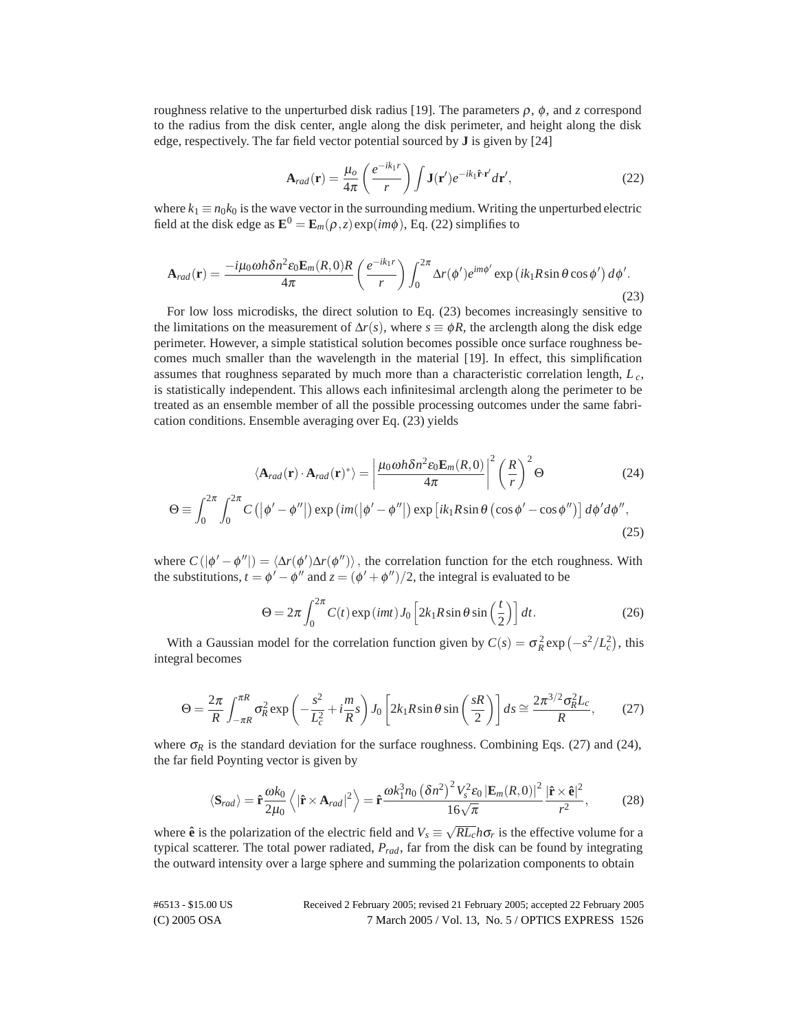roughness relative to the unperturbed disk radius [19]. The parameters ρ, φ, and *z* correspond to the radius from the disk center, angle along the disk perimeter, and height along the disk edge, respectively. The far field vector potential sourced by **J** is given by [24]

$$
\mathbf{A}_{rad}(\mathbf{r}) = \frac{\mu_o}{4\pi} \left( \frac{e^{-ik_1r}}{r} \right) \int \mathbf{J}(\mathbf{r}') e^{-ik_1\hat{\mathbf{r}} \cdot \mathbf{r}'} d\mathbf{r}',\tag{22}
$$

where  $k_1 \equiv n_0 k_0$  is the wave vector in the surrounding medium. Writing the unperturbed electric field at the disk edge as  $\mathbf{E}^0 = \mathbf{E}_m(\rho, z) \exp(im\phi)$ , Eq. (22) simplifies to

$$
\mathbf{A}_{rad}(\mathbf{r}) = \frac{-i\mu_0 \omega h \delta n^2 \varepsilon_0 \mathbf{E}_m(R,0)R}{4\pi} \left(\frac{e^{-ik_1r}}{r}\right) \int_0^{2\pi} \Delta r(\phi') e^{im\phi'} \exp\left(ik_1R\sin\theta\cos\phi'\right) d\phi'.
$$
\n(23)

For low loss microdisks, the direct solution to Eq. (23) becomes increasingly sensitive to the limitations on the measurement of  $\Delta r(s)$ , where  $s \equiv \phi R$ , the arclength along the disk edge perimeter. However, a simple statistical solution becomes possible once surface roughness becomes much smaller than the wavelength in the material [19]. In effect, this simplification assumes that roughness separated by much more than a characteristic correlation length, *L <sup>c</sup>*, is statistically independent. This allows each infinitesimal arclength along the perimeter to be treated as an ensemble member of all the possible processing outcomes under the same fabrication conditions. Ensemble averaging over Eq. (23) yields

$$
\langle \mathbf{A}_{rad}(\mathbf{r}) \cdot \mathbf{A}_{rad}(\mathbf{r})^* \rangle = \left| \frac{\mu_0 \omega h \delta n^2 \epsilon_0 \mathbf{E}_m(R,0)}{4\pi} \right|^2 \left( \frac{R}{r} \right)^2 \Theta \qquad (24)
$$
  

$$
\Theta \equiv \int_0^{2\pi} \int_0^{2\pi} C\left( |\phi' - \phi''| \right) \exp\left( im(|\phi' - \phi''|) \exp\left[ ik_1 R \sin \theta \left( \cos \phi' - \cos \phi'' \right) \right] d\phi' d\phi'', \qquad (25)
$$

where  $C(|\phi' - \phi''|) = \langle \Delta r(\phi') \Delta r(\phi'') \rangle$ , the correlation function for the etch roughness. With the substitutions,  $t = \phi' - \dot{\phi}''$  and  $z = (\phi' + \phi'')/2$ , the integral is evaluated to be

$$
\Theta = 2\pi \int_0^{2\pi} C(t) \exp(imt) J_0 \left[ 2k_1 R \sin \theta \sin\left(\frac{t}{2}\right) \right] dt.
$$
 (26)

With a Gaussian model for the correlation function given by  $C(s) = \sigma_R^2 \exp(-s^2/L_c^2)$ , this integral becomes

$$
\Theta = \frac{2\pi}{R} \int_{-\pi R}^{\pi R} \sigma_R^2 \exp\left(-\frac{s^2}{L_c^2} + i\frac{m}{R}s\right) J_0 \left[2k_1 R \sin\theta \sin\left(\frac{sR}{2}\right)\right] ds \approx \frac{2\pi^{3/2} \sigma_R^2 L_c}{R},\tag{27}
$$

where  $\sigma_R$  is the standard deviation for the surface roughness. Combining Eqs. (27) and (24), the far field Poynting vector is given by

$$
\langle \mathbf{S}_{rad} \rangle = \hat{\mathbf{r}} \frac{\omega k_0}{2\mu_0} \left\langle |\hat{\mathbf{r}} \times \mathbf{A}_{rad}|^2 \right\rangle = \hat{\mathbf{r}} \frac{\omega k_1^3 n_0 \left(\delta n^2\right)^2 V_s^2 \varepsilon_0 |\mathbf{E}_m(R,0)|^2}{16\sqrt{\pi}} \frac{|\hat{\mathbf{r}} \times \hat{\mathbf{e}}|^2}{r^2},\tag{28}
$$

where  $\hat{\bf{e}}$  is the polarization of the electric field and  $V_s \equiv \sqrt{RL_c} h \sigma_r$  is the effective volume for a typical scatterer. The total power radiated, *Prad*, far from the disk can be found by integrating the outward intensity over a large sphere and summing the polarization components to obtain

(C) 2005 OSA 7 March 2005 / Vol. 13, No. 5 / OPTICS EXPRESS 1526 #6513 - \$15.00 US Received 2 February 2005; revised 21 February 2005; accepted 22 February 2005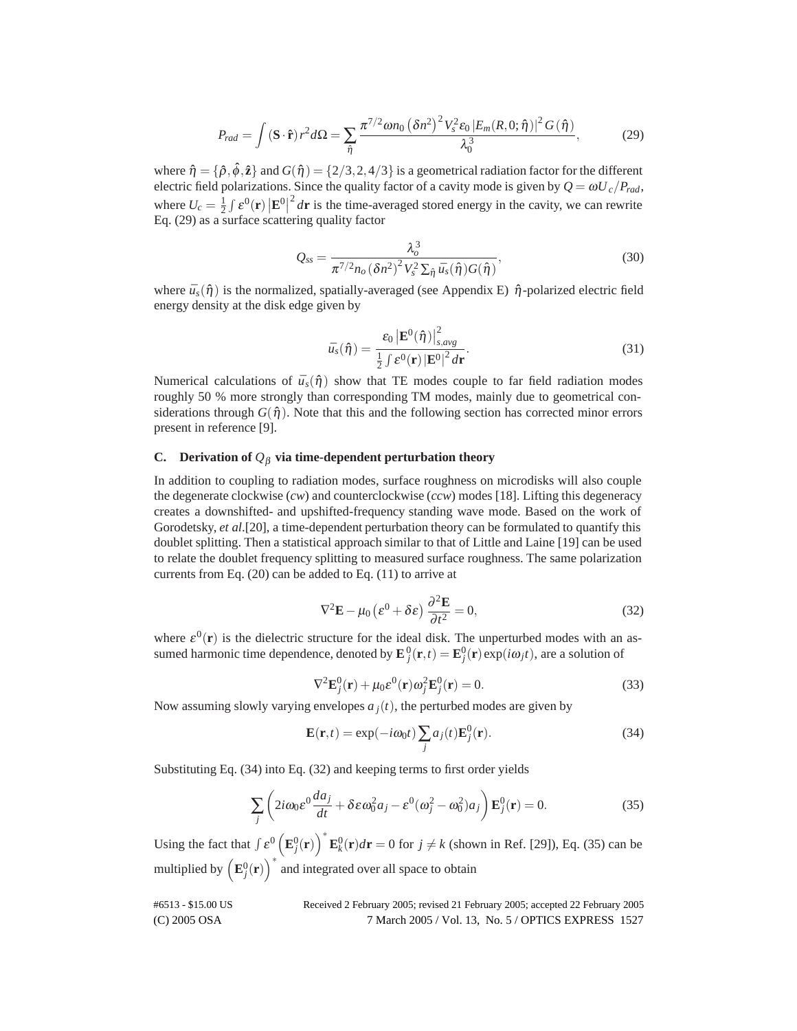$$
P_{rad} = \int \left(\mathbf{S} \cdot \hat{\mathbf{r}}\right) r^2 d\Omega = \sum_{\hat{\eta}} \frac{\pi^{7/2} \omega n_0 \left(\delta n^2\right)^2 V_s^2 \varepsilon_0 |E_m(R,0;\hat{\eta})|^2 G(\hat{\eta})}{\lambda_0^3},\tag{29}
$$

where  $\hat{\eta} = {\hat{\rho}, \hat{\phi}, \hat{\mathbf{z}}}\$  and  $G(\hat{\eta}) = {2/3, 2, 4/3}$  is a geometrical radiation factor for the different electric field polarizations. Since the quality factor of a cavity mode is given by  $Q = \omega U_c / P_{rad}$ , where  $U_c = \frac{1}{2} \int \mathcal{E}^0(\mathbf{r}) |\mathbf{E}^0|$  $2/dr$  is the time-averaged stored energy in the cavity, we can rewrite Eq. (29) as a surface scattering quality factor

$$
Q_{ss} = \frac{\lambda_o^3}{\pi^{7/2} n_o \left(\delta n^2\right)^2 V_s^2 \Sigma_{\hat{\eta}} \bar{u}_s(\hat{\eta}) G(\hat{\eta})},\tag{30}
$$

where  $\bar{u}_s(\hat{\eta})$  is the normalized, spatially-averaged (see Appendix E)  $\hat{\eta}$ -polarized electric field energy density at the disk edge given by

$$
\bar{u}_s(\hat{\eta}) = \frac{\varepsilon_0 \left| \mathbf{E}^0(\hat{\eta}) \right|_{s,avg}^2}{\frac{1}{2} \int \varepsilon^0(\mathbf{r}) \left| \mathbf{E}^0 \right|^2 d\mathbf{r}}.
$$
\n(31)

Numerical calculations of  $\bar{u}_s(\hat{\eta})$  show that TE modes couple to far field radiation modes roughly 50 % more strongly than corresponding TM modes, mainly due to geometrical considerations through  $G(\hat{\eta})$ . Note that this and the following section has corrected minor errors present in reference [9].

# **C.** Derivation of  $Q_\beta$  via time-dependent perturbation theory

In addition to coupling to radiation modes, surface roughness on microdisks will also couple the degenerate clockwise (*cw*) and counterclockwise (*ccw*) modes [18]. Lifting this degeneracy creates a downshifted- and upshifted-frequency standing wave mode. Based on the work of Gorodetsky, *et al*.[20], a time-dependent perturbation theory can be formulated to quantify this doublet splitting. Then a statistical approach similar to that of Little and Laine [19] can be used to relate the doublet frequency splitting to measured surface roughness. The same polarization currents from Eq. (20) can be added to Eq. (11) to arrive at

$$
\nabla^2 \mathbf{E} - \mu_0 \left( \varepsilon^0 + \delta \varepsilon \right) \frac{\partial^2 \mathbf{E}}{\partial t^2} = 0,
$$
 (32)

where  $\varepsilon^0(\mathbf{r})$  is the dielectric structure for the ideal disk. The unperturbed modes with an assumed harmonic time dependence, denoted by  $\mathbf{E}_j^0(\mathbf{r},t) = \mathbf{E}_j^0(\mathbf{r}) \exp(i\omega_j t)$ , are a solution of

$$
\nabla^2 \mathbf{E}_j^0(\mathbf{r}) + \mu_0 \varepsilon^0(\mathbf{r}) \omega_j^2 \mathbf{E}_j^0(\mathbf{r}) = 0.
$$
 (33)

Now assuming slowly varying envelopes  $a_j(t)$ , the perturbed modes are given by

$$
\mathbf{E}(\mathbf{r},t) = \exp(-i\omega_0 t) \sum_j a_j(t) \mathbf{E}_j^0(\mathbf{r}).
$$
\n(34)

Substituting Eq. (34) into Eq. (32) and keeping terms to first order yields

$$
\sum_{j} \left( 2i\omega_0 \varepsilon^0 \frac{da_j}{dt} + \delta \varepsilon \omega_0^2 a_j - \varepsilon^0 (\omega_j^2 - \omega_0^2) a_j \right) \mathbf{E}_j^0(\mathbf{r}) = 0.
$$
 (35)

Using the fact that  $\int \varepsilon^0 (\mathbf{E}_j^0(\mathbf{r}))^* \mathbf{E}_k^0(\mathbf{r}) d\mathbf{r} = 0$  for  $j \neq k$  (shown in Ref. [29]), Eq. (35) can be multiplied by  $\left(\mathbf{E}_{j}^{0}(\mathbf{r})\right)^{*}$  and integrated over all space to obtain

(C) 2005 OSA 7 March 2005 / Vol. 13, No. 5 / OPTICS EXPRESS 1527 #6513 - \$15.00 US Received 2 February 2005; revised 21 February 2005; accepted 22 February 2005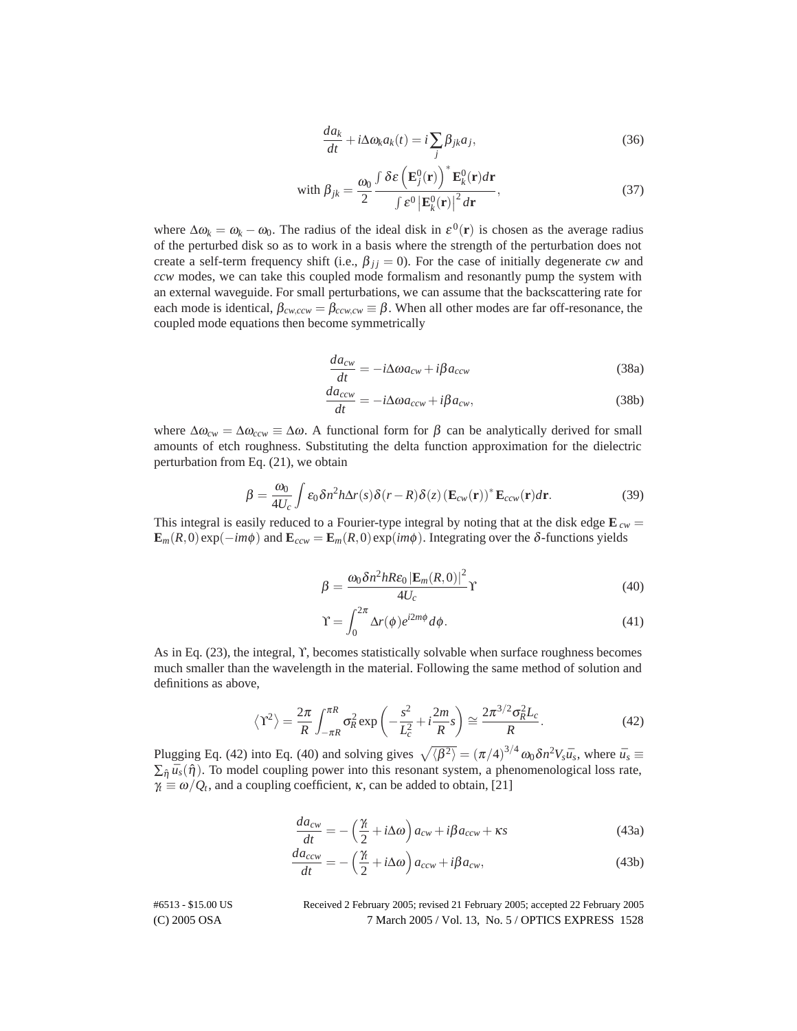$$
\frac{da_k}{dt} + i\Delta \omega_k a_k(t) = i \sum_j \beta_{jk} a_j,
$$
\n(36)

with 
$$
\beta_{jk} = \frac{\omega_0}{2} \frac{\int \delta \varepsilon \left( \mathbf{E}_j^0(\mathbf{r}) \right)^* \mathbf{E}_k^0(\mathbf{r}) d\mathbf{r}}{\int \varepsilon^0 |\mathbf{E}_k^0(\mathbf{r})|^2 d\mathbf{r}},
$$
 (37)

where  $\Delta \omega_k = \omega_k - \omega_0$ . The radius of the ideal disk in  $\varepsilon^0(\mathbf{r})$  is chosen as the average radius of the perturbed disk so as to work in a basis where the strength of the perturbation does not create a self-term frequency shift (i.e.,  $\beta_{ij} = 0$ ). For the case of initially degenerate *cw* and *ccw* modes, we can take this coupled mode formalism and resonantly pump the system with an external waveguide. For small perturbations, we can assume that the backscattering rate for each mode is identical,  $\beta_{\text{cw,cw}} = \beta_{\text{ccw,cw}} \equiv \beta$ . When all other modes are far off-resonance, the coupled mode equations then become symmetrically

$$
\frac{da_{cw}}{dt} = -i\Delta\omega a_{cw} + i\beta a_{ccw}
$$
\n(38a)

$$
\frac{da_{ccw}}{dt} = -i\Delta\omega a_{ccw} + i\beta a_{cw},\tag{38b}
$$

where  $\Delta\omega_{cw} = \Delta\omega_{ccw} \equiv \Delta\omega$ . A functional form for  $\beta$  can be analytically derived for small amounts of etch roughness. Substituting the delta function approximation for the dielectric perturbation from Eq. (21), we obtain

$$
\beta = \frac{\omega_0}{4U_c} \int \varepsilon_0 \delta n^2 h \Delta r(s) \delta(r - R) \delta(z) \left( \mathbf{E}_{cw}(\mathbf{r}) \right)^* \mathbf{E}_{ccw}(\mathbf{r}) d\mathbf{r}.
$$
 (39)

This integral is easily reduced to a Fourier-type integral by noting that at the disk edge  $\mathbf{E}_{cw} =$  $\mathbf{E}_m(R,0)$ exp( $-i\mathbf{m}\phi$ ) and  $\mathbf{E}_{ccw} = \mathbf{E}_m(R,0)$ exp( $i\mathbf{m}\phi$ ). Integrating over the δ-functions yields

$$
\beta = \frac{\omega_0 \delta n^2 h Re_0 |\mathbf{E}_m(R, 0)|^2}{4U_c} \gamma
$$
\n(40)

$$
\Upsilon = \int_0^{2\pi} \Delta r(\phi) e^{i2m\phi} d\phi.
$$
 (41)

As in Eq. (23), the integral, ϒ, becomes statistically solvable when surface roughness becomes much smaller than the wavelength in the material. Following the same method of solution and definitions as above,

$$
\left\langle \Upsilon^2 \right\rangle = \frac{2\pi}{R} \int_{-\pi R}^{\pi R} \sigma_R^2 \exp\left(-\frac{s^2}{L_c^2} + i\frac{2m}{R}s\right) \cong \frac{2\pi^{3/2} \sigma_R^2 L_c}{R}.
$$
 (42)

Plugging Eq. (42) into Eq. (40) and solving gives  $\sqrt{\langle \beta^2 \rangle} = (\pi/4)^{3/4} \omega_0 \delta n^2 V_s \bar{u}_s$ , where  $\bar{u}_s \equiv$  $\sum_{\hat{n}} \bar{u}_s(\hat{n})$ . To model coupling power into this resonant system, a phenomenological loss rate,  $\gamma_t \equiv \omega/Q_t$ , and a coupling coefficient,  $\kappa$ , can be added to obtain, [21]

$$
\frac{da_{cw}}{dt} = -\left(\frac{\gamma}{2} + i\Delta\omega\right)a_{cw} + i\beta a_{ccw} + \kappa s\tag{43a}
$$

$$
\frac{da_{ccw}}{dt} = -\left(\frac{\gamma_t}{2} + i\Delta\omega\right) a_{ccw} + i\beta a_{cw},\tag{43b}
$$

(C) 2005 OSA 7 March 2005 / Vol. 13, No. 5 / OPTICS EXPRESS 1528 #6513 - \$15.00 US Received 2 February 2005; revised 21 February 2005; accepted 22 February 2005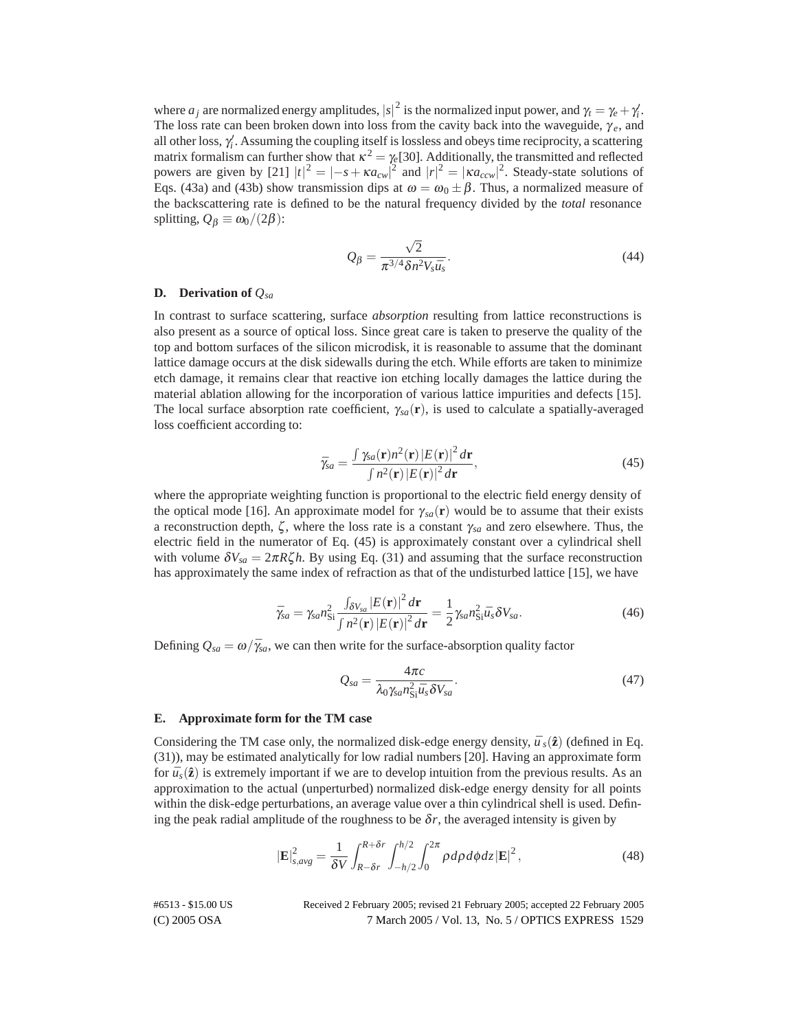where  $a_j$  are normalized energy amplitudes,  $|s|^2$  is the normalized input power, and  $\gamma_t = \gamma_e + \gamma'_i$ . The loss rate can been broken down into loss from the cavity back into the waveguide,  $\gamma_e$ , and all other loss,  $\gamma'_i$ . Assuming the coupling itself is lossless and obeys time reciprocity, a scattering matrix formalism can further show that  $\kappa^2 = \gamma_e$ [30]. Additionally, the transmitted and reflected powers are given by [21]  $|t|^2 = |-s + \kappa a_{cw}|^2$  and  $|r|^2 = |\kappa a_{ccw}|^2$ . Steady-state solutions of Eqs. (43a) and (43b) show transmission dips at  $\omega = \omega_0 \pm \beta$ . Thus, a normalized measure of the backscattering rate is defined to be the natural frequency divided by the *total* resonance splitting,  $Q_{\beta} \equiv \omega_0/(2\beta)$ :

$$
Q_{\beta} = \frac{\sqrt{2}}{\pi^{3/4} \delta n^2 V_s \bar{u}_s}.
$$
\n(44)

# **D. Derivation of** *Qsa*

In contrast to surface scattering, surface *absorption* resulting from lattice reconstructions is also present as a source of optical loss. Since great care is taken to preserve the quality of the top and bottom surfaces of the silicon microdisk, it is reasonable to assume that the dominant lattice damage occurs at the disk sidewalls during the etch. While efforts are taken to minimize etch damage, it remains clear that reactive ion etching locally damages the lattice during the material ablation allowing for the incorporation of various lattice impurities and defects [15]. The local surface absorption rate coefficient,  $\gamma_{sa}(\mathbf{r})$ , is used to calculate a spatially-averaged loss coefficient according to:

$$
\bar{\gamma}_{sa} = \frac{\int \gamma_{sa}(\mathbf{r}) n^2(\mathbf{r}) \left| E(\mathbf{r}) \right|^2 d\mathbf{r}}{\int n^2(\mathbf{r}) \left| E(\mathbf{r}) \right|^2 d\mathbf{r}},\tag{45}
$$

where the appropriate weighting function is proportional to the electric field energy density of the optical mode [16]. An approximate model for  $\gamma_{sa}(\mathbf{r})$  would be to assume that their exists a reconstruction depth,  $\zeta$ , where the loss rate is a constant  $\gamma_{sa}$  and zero elsewhere. Thus, the electric field in the numerator of Eq. (45) is approximately constant over a cylindrical shell with volume  $\delta V_{sa} = 2\pi R \zeta h$ . By using Eq. (31) and assuming that the surface reconstruction has approximately the same index of refraction as that of the undisturbed lattice [15], we have

$$
\bar{\gamma}_{sa} = \gamma_{sa} n_{\rm Si}^2 \frac{\int_{\delta V_{sa}} |E(\mathbf{r})|^2 d\mathbf{r}}{\int n^2(\mathbf{r}) |E(\mathbf{r})|^2 d\mathbf{r}} = \frac{1}{2} \gamma_{sa} n_{\rm Si}^2 \bar{u}_s \delta V_{sa}.
$$
\n(46)

Defining  $Q_{sa} = \omega / \bar{\gamma}_{sa}$ , we can then write for the surface-absorption quality factor

$$
Q_{sa} = \frac{4\pi c}{\lambda_0 \gamma_{sa} n_{\text{Si}}^2 \bar{u}_s \delta V_{sa}}.
$$
\n(47)

#### **E. Approximate form for the TM case**

Considering the TM case only, the normalized disk-edge energy density,  $\bar{u}$ <sub>s</sub>( $\hat{z}$ ) (defined in Eq. (31)), may be estimated analytically for low radial numbers [20]. Having an approximate form for  $\bar{u}_s(\hat{\mathbf{z}})$  is extremely important if we are to develop intuition from the previous results. As an approximation to the actual (unperturbed) normalized disk-edge energy density for all points within the disk-edge perturbations, an average value over a thin cylindrical shell is used. Defining the peak radial amplitude of the roughness to be  $\delta r$ , the averaged intensity is given by

$$
|\mathbf{E}|_{s,avg}^2 = \frac{1}{\delta V} \int_{R-\delta r}^{R+\delta r} \int_{-h/2}^{h/2} \int_0^{2\pi} \rho \, d\rho \, d\phi \, dz \, |\mathbf{E}|^2 \,, \tag{48}
$$

(C) 2005 OSA 7 March 2005 / Vol. 13, No. 5 / OPTICS EXPRESS 1529 #6513 - \$15.00 US Received 2 February 2005; revised 21 February 2005; accepted 22 February 2005